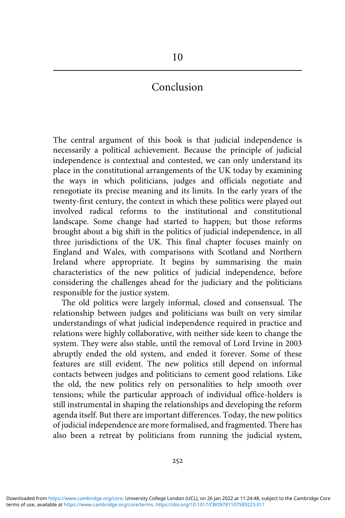# 10

# Conclusion

The central argument of this book is that judicial independence is necessarily a political achievement. Because the principle of judicial independence is contextual and contested, we can only understand its place in the constitutional arrangements of the UK today by examining the ways in which politicians, judges and officials negotiate and renegotiate its precise meaning and its limits. In the early years of the twenty-first century, the context in which these politics were played out involved radical reforms to the institutional and constitutional landscape. Some change had started to happen; but those reforms brought about a big shift in the politics of judicial independence, in all three jurisdictions of the UK. This final chapter focuses mainly on England and Wales, with comparisons with Scotland and Northern Ireland where appropriate. It begins by summarising the main characteristics of the new politics of judicial independence, before considering the challenges ahead for the judiciary and the politicians responsible for the justice system.

The old politics were largely informal, closed and consensual. The relationship between judges and politicians was built on very similar understandings of what judicial independence required in practice and relations were highly collaborative, with neither side keen to change the system. They were also stable, until the removal of Lord Irvine in 2003 abruptly ended the old system, and ended it forever. Some of these features are still evident. The new politics still depend on informal contacts between judges and politicians to cement good relations. Like the old, the new politics rely on personalities to help smooth over tensions; while the particular approach of individual office-holders is still instrumental in shaping the relationships and developing the reform agenda itself. But there are important differences. Today, the new politics of judicial independence are more formalised, and fragmented. There has also been a retreat by politicians from running the judicial system,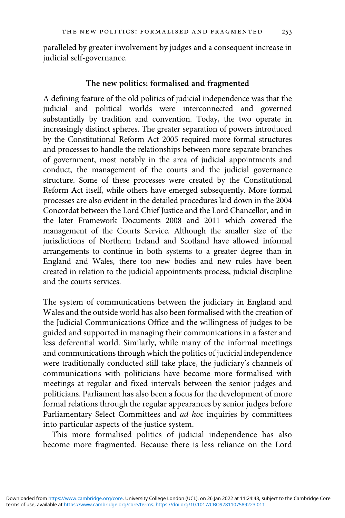paralleled by greater involvement by judges and a consequent increase in judicial self-governance.

#### The new politics: formalised and fragmented

A defining feature of the old politics of judicial independence was that the judicial and political worlds were interconnected and governed substantially by tradition and convention. Today, the two operate in increasingly distinct spheres. The greater separation of powers introduced by the Constitutional Reform Act 2005 required more formal structures and processes to handle the relationships between more separate branches of government, most notably in the area of judicial appointments and conduct, the management of the courts and the judicial governance structure. Some of these processes were created by the Constitutional Reform Act itself, while others have emerged subsequently. More formal processes are also evident in the detailed procedures laid down in the 2004 Concordat between the Lord Chief Justice and the Lord Chancellor, and in the later Framework Documents 2008 and 2011 which covered the management of the Courts Service. Although the smaller size of the jurisdictions of Northern Ireland and Scotland have allowed informal arrangements to continue in both systems to a greater degree than in England and Wales, there too new bodies and new rules have been created in relation to the judicial appointments process, judicial discipline and the courts services.

The system of communications between the judiciary in England and Wales and the outside world has also been formalised with the creation of the Judicial Communications Office and the willingness of judges to be guided and supported in managing their communications in a faster and less deferential world. Similarly, while many of the informal meetings and communications through which the politics of judicial independence were traditionally conducted still take place, the judiciary's channels of communications with politicians have become more formalised with meetings at regular and fixed intervals between the senior judges and politicians. Parliament has also been a focus for the development of more formal relations through the regular appearances by senior judges before Parliamentary Select Committees and ad hoc inquiries by committees into particular aspects of the justice system.

This more formalised politics of judicial independence has also become more fragmented. Because there is less reliance on the Lord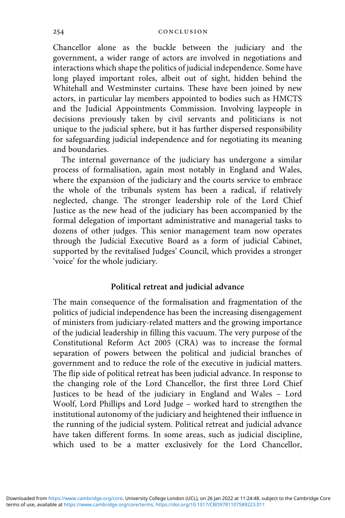Chancellor alone as the buckle between the judiciary and the government, a wider range of actors are involved in negotiations and interactions which shape the politics of judicial independence. Some have long played important roles, albeit out of sight, hidden behind the Whitehall and Westminster curtains. These have been joined by new actors, in particular lay members appointed to bodies such as HMCTS and the Judicial Appointments Commission. Involving laypeople in decisions previously taken by civil servants and politicians is not unique to the judicial sphere, but it has further dispersed responsibility for safeguarding judicial independence and for negotiating its meaning and boundaries.

The internal governance of the judiciary has undergone a similar process of formalisation, again most notably in England and Wales, where the expansion of the judiciary and the courts service to embrace the whole of the tribunals system has been a radical, if relatively neglected, change. The stronger leadership role of the Lord Chief Justice as the new head of the judiciary has been accompanied by the formal delegation of important administrative and managerial tasks to dozens of other judges. This senior management team now operates through the Judicial Executive Board as a form of judicial Cabinet, supported by the revitalised Judges' Council, which provides a stronger 'voice' for the whole judiciary.

### Political retreat and judicial advance

The main consequence of the formalisation and fragmentation of the politics of judicial independence has been the increasing disengagement of ministers from judiciary-related matters and the growing importance of the judicial leadership in filling this vacuum. The very purpose of the Constitutional Reform Act 2005 (CRA) was to increase the formal separation of powers between the political and judicial branches of government and to reduce the role of the executive in judicial matters. The flip side of political retreat has been judicial advance. In response to the changing role of the Lord Chancellor, the first three Lord Chief Justices to be head of the judiciary in England and Wales – Lord Woolf, Lord Phillips and Lord Judge – worked hard to strengthen the institutional autonomy of the judiciary and heightened their influence in the running of the judicial system. Political retreat and judicial advance have taken different forms. In some areas, such as judicial discipline, which used to be a matter exclusively for the Lord Chancellor,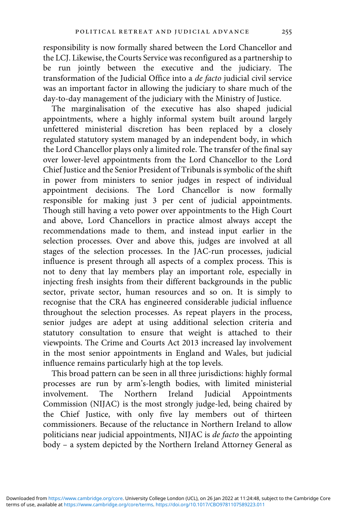responsibility is now formally shared between the Lord Chancellor and the LCJ. Likewise, the Courts Service was reconfigured as a partnership to be run jointly between the executive and the judiciary. The transformation of the Judicial Office into a de facto judicial civil service was an important factor in allowing the judiciary to share much of the day-to-day management of the judiciary with the Ministry of Justice.

The marginalisation of the executive has also shaped judicial appointments, where a highly informal system built around largely unfettered ministerial discretion has been replaced by a closely regulated statutory system managed by an independent body, in which the Lord Chancellor plays only a limited role. The transfer of the final say over lower-level appointments from the Lord Chancellor to the Lord Chief Justice and the Senior President of Tribunals is symbolic of the shift in power from ministers to senior judges in respect of individual appointment decisions. The Lord Chancellor is now formally responsible for making just 3 per cent of judicial appointments. Though still having a veto power over appointments to the High Court and above, Lord Chancellors in practice almost always accept the recommendations made to them, and instead input earlier in the selection processes. Over and above this, judges are involved at all stages of the selection processes. In the JAC-run processes, judicial influence is present through all aspects of a complex process. This is not to deny that lay members play an important role, especially in injecting fresh insights from their different backgrounds in the public sector, private sector, human resources and so on. It is simply to recognise that the CRA has engineered considerable judicial influence throughout the selection processes. As repeat players in the process, senior judges are adept at using additional selection criteria and statutory consultation to ensure that weight is attached to their viewpoints. The Crime and Courts Act 2013 increased lay involvement in the most senior appointments in England and Wales, but judicial influence remains particularly high at the top levels.

This broad pattern can be seen in all three jurisdictions: highly formal processes are run by arm's-length bodies, with limited ministerial involvement. The Northern Ireland Judicial Appointments Commission (NIJAC) is the most strongly judge-led, being chaired by the Chief Justice, with only five lay members out of thirteen commissioners. Because of the reluctance in Northern Ireland to allow politicians near judicial appointments, NIJAC is de facto the appointing body – a system depicted by the Northern Ireland Attorney General as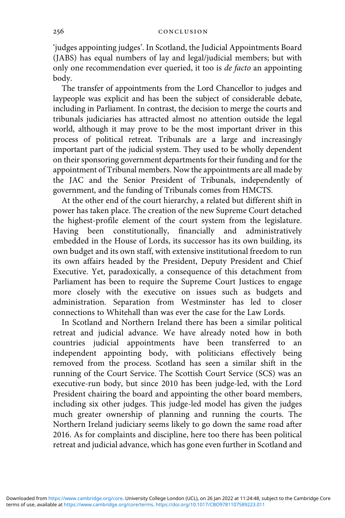'judges appointing judges'. In Scotland, the Judicial Appointments Board (JABS) has equal numbers of lay and legal/judicial members; but with only one recommendation ever queried, it too is de facto an appointing body.

The transfer of appointments from the Lord Chancellor to judges and laypeople was explicit and has been the subject of considerable debate, including in Parliament. In contrast, the decision to merge the courts and tribunals judiciaries has attracted almost no attention outside the legal world, although it may prove to be the most important driver in this process of political retreat. Tribunals are a large and increasingly important part of the judicial system. They used to be wholly dependent on their sponsoring government departments for their funding and for the appointment of Tribunal members. Now the appointments are all made by the JAC and the Senior President of Tribunals, independently of government, and the funding of Tribunals comes from HMCTS.

At the other end of the court hierarchy, a related but different shift in power has taken place. The creation of the new Supreme Court detached the highest-profile element of the court system from the legislature. Having been constitutionally, financially and administratively embedded in the House of Lords, its successor has its own building, its own budget and its own staff, with extensive institutional freedom to run its own affairs headed by the President, Deputy President and Chief Executive. Yet, paradoxically, a consequence of this detachment from Parliament has been to require the Supreme Court Justices to engage more closely with the executive on issues such as budgets and administration. Separation from Westminster has led to closer connections to Whitehall than was ever the case for the Law Lords.

In Scotland and Northern Ireland there has been a similar political retreat and judicial advance. We have already noted how in both countries judicial appointments have been transferred to an independent appointing body, with politicians effectively being removed from the process. Scotland has seen a similar shift in the running of the Court Service. The Scottish Court Service (SCS) was an executive-run body, but since 2010 has been judge-led, with the Lord President chairing the board and appointing the other board members, including six other judges. This judge-led model has given the judges much greater ownership of planning and running the courts. The Northern Ireland judiciary seems likely to go down the same road after 2016. As for complaints and discipline, here too there has been political retreat and judicial advance, which has gone even further in Scotland and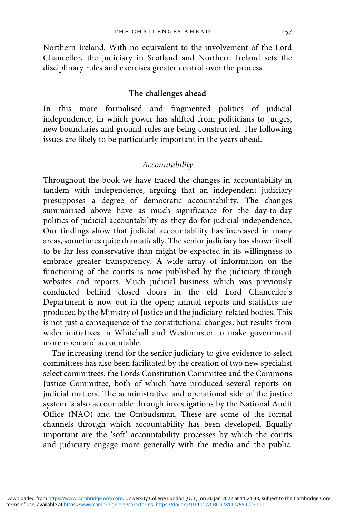Northern Ireland. With no equivalent to the involvement of the Lord Chancellor, the judiciary in Scotland and Northern Ireland sets the disciplinary rules and exercises greater control over the process.

### The challenges ahead

In this more formalised and fragmented politics of judicial independence, in which power has shifted from politicians to judges, new boundaries and ground rules are being constructed. The following issues are likely to be particularly important in the years ahead.

## Accountability

Throughout the book we have traced the changes in accountability in tandem with independence, arguing that an independent judiciary presupposes a degree of democratic accountability. The changes summarised above have as much significance for the day-to-day politics of judicial accountability as they do for judicial independence. Our findings show that judicial accountability has increased in many areas, sometimes quite dramatically. The senior judiciary has shown itself to be far less conservative than might be expected in its willingness to embrace greater transparency. A wide array of information on the functioning of the courts is now published by the judiciary through websites and reports. Much judicial business which was previously conducted behind closed doors in the old Lord Chancellor's Department is now out in the open; annual reports and statistics are produced by the Ministry of Justice and the judiciary-related bodies. This is not just a consequence of the constitutional changes, but results from wider initiatives in Whitehall and Westminster to make government more open and accountable.

The increasing trend for the senior judiciary to give evidence to select committees has also been facilitated by the creation of two new specialist select committees: the Lords Constitution Committee and the Commons Justice Committee, both of which have produced several reports on judicial matters. The administrative and operational side of the justice system is also accountable through investigations by the National Audit Office (NAO) and the Ombudsman. These are some of the formal channels through which accountability has been developed. Equally important are the 'soft' accountability processes by which the courts and judiciary engage more generally with the media and the public.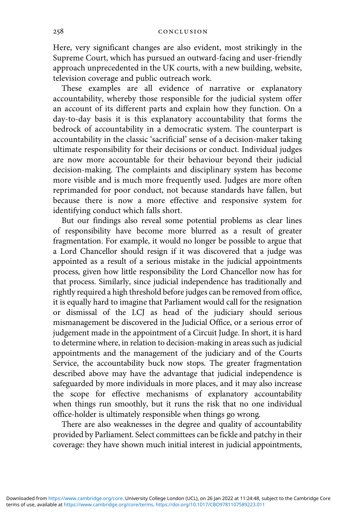Here, very significant changes are also evident, most strikingly in the Supreme Court, which has pursued an outward-facing and user-friendly approach unprecedented in the UK courts, with a new building, website, television coverage and public outreach work.

These examples are all evidence of narrative or explanatory accountability, whereby those responsible for the judicial system offer an account of its different parts and explain how they function. On a day-to-day basis it is this explanatory accountability that forms the bedrock of accountability in a democratic system. The counterpart is accountability in the classic 'sacrificial' sense of a decision-maker taking ultimate responsibility for their decisions or conduct. Individual judges are now more accountable for their behaviour beyond their judicial decision-making. The complaints and disciplinary system has become more visible and is much more frequently used. Judges are more often reprimanded for poor conduct, not because standards have fallen, but because there is now a more effective and responsive system for identifying conduct which falls short.

But our findings also reveal some potential problems as clear lines of responsibility have become more blurred as a result of greater fragmentation. For example, it would no longer be possible to argue that a Lord Chancellor should resign if it was discovered that a judge was appointed as a result of a serious mistake in the judicial appointments process, given how little responsibility the Lord Chancellor now has for that process. Similarly, since judicial independence has traditionally and rightly required a high threshold before judges can be removed from office, it is equally hard to imagine that Parliament would call for the resignation or dismissal of the LCJ as head of the judiciary should serious mismanagement be discovered in the Judicial Office, or a serious error of judgement made in the appointment of a Circuit Judge. In short, it is hard to determine where, in relation to decision-making in areas such as judicial appointments and the management of the judiciary and of the Courts Service, the accountability buck now stops. The greater fragmentation described above may have the advantage that judicial independence is safeguarded by more individuals in more places, and it may also increase the scope for effective mechanisms of explanatory accountability when things run smoothly, but it runs the risk that no one individual office-holder is ultimately responsible when things go wrong.

There are also weaknesses in the degree and quality of accountability provided by Parliament. Select committees can be fickle and patchy in their coverage: they have shown much initial interest in judicial appointments,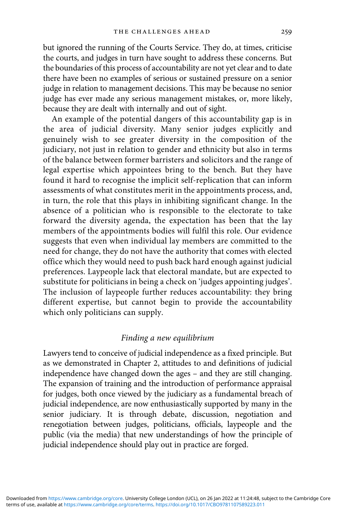but ignored the running of the Courts Service. They do, at times, criticise the courts, and judges in turn have sought to address these concerns. But the boundaries of this process of accountability are not yet clear and to date there have been no examples of serious or sustained pressure on a senior judge in relation to management decisions. This may be because no senior judge has ever made any serious management mistakes, or, more likely, because they are dealt with internally and out of sight.

An example of the potential dangers of this accountability gap is in the area of judicial diversity. Many senior judges explicitly and genuinely wish to see greater diversity in the composition of the judiciary, not just in relation to gender and ethnicity but also in terms of the balance between former barristers and solicitors and the range of legal expertise which appointees bring to the bench. But they have found it hard to recognise the implicit self-replication that can inform assessments of what constitutes merit in the appointments process, and, in turn, the role that this plays in inhibiting significant change. In the absence of a politician who is responsible to the electorate to take forward the diversity agenda, the expectation has been that the lay members of the appointments bodies will fulfil this role. Our evidence suggests that even when individual lay members are committed to the need for change, they do not have the authority that comes with elected office which they would need to push back hard enough against judicial preferences. Laypeople lack that electoral mandate, but are expected to substitute for politicians in being a check on 'judges appointing judges'. The inclusion of laypeople further reduces accountability: they bring different expertise, but cannot begin to provide the accountability which only politicians can supply.

#### Finding a new equilibrium

Lawyers tend to conceive of judicial independence as a fixed principle. But as we demonstrated in Chapter 2, attitudes to and definitions of judicial independence have changed down the ages – and they are still changing. The expansion of training and the introduction of performance appraisal for judges, both once viewed by the judiciary as a fundamental breach of judicial independence, are now enthusiastically supported by many in the senior judiciary. It is through debate, discussion, negotiation and renegotiation between judges, politicians, officials, laypeople and the public (via the media) that new understandings of how the principle of judicial independence should play out in practice are forged.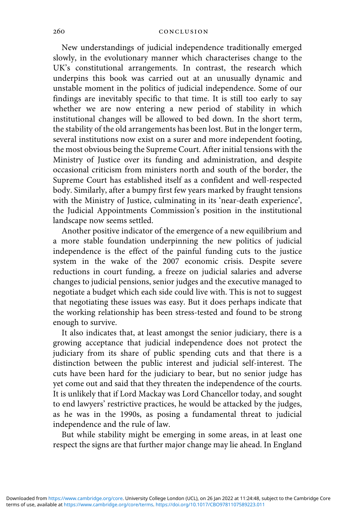New understandings of judicial independence traditionally emerged slowly, in the evolutionary manner which characterises change to the UK's constitutional arrangements. In contrast, the research which underpins this book was carried out at an unusually dynamic and unstable moment in the politics of judicial independence. Some of our findings are inevitably specific to that time. It is still too early to say whether we are now entering a new period of stability in which institutional changes will be allowed to bed down. In the short term, the stability of the old arrangements has been lost. But in the longer term, several institutions now exist on a surer and more independent footing, the most obvious being the Supreme Court. After initial tensions with the Ministry of Justice over its funding and administration, and despite occasional criticism from ministers north and south of the border, the Supreme Court has established itself as a confident and well-respected body. Similarly, after a bumpy first few years marked by fraught tensions with the Ministry of Justice, culminating in its 'near-death experience', the Judicial Appointments Commission's position in the institutional landscape now seems settled.

Another positive indicator of the emergence of a new equilibrium and a more stable foundation underpinning the new politics of judicial independence is the effect of the painful funding cuts to the justice system in the wake of the 2007 economic crisis. Despite severe reductions in court funding, a freeze on judicial salaries and adverse changes to judicial pensions, senior judges and the executive managed to negotiate a budget which each side could live with. This is not to suggest that negotiating these issues was easy. But it does perhaps indicate that the working relationship has been stress-tested and found to be strong enough to survive.

It also indicates that, at least amongst the senior judiciary, there is a growing acceptance that judicial independence does not protect the judiciary from its share of public spending cuts and that there is a distinction between the public interest and judicial self-interest. The cuts have been hard for the judiciary to bear, but no senior judge has yet come out and said that they threaten the independence of the courts. It is unlikely that if Lord Mackay was Lord Chancellor today, and sought to end lawyers' restrictive practices, he would be attacked by the judges, as he was in the 1990s, as posing a fundamental threat to judicial independence and the rule of law.

But while stability might be emerging in some areas, in at least one respect the signs are that further major change may lie ahead. In England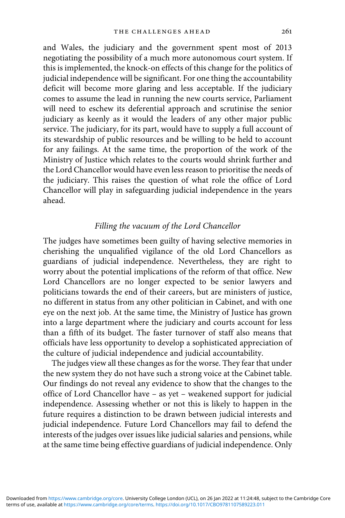and Wales, the judiciary and the government spent most of 2013 negotiating the possibility of a much more autonomous court system. If this is implemented, the knock-on effects of this change for the politics of judicial independence will be significant. For one thing the accountability deficit will become more glaring and less acceptable. If the judiciary comes to assume the lead in running the new courts service, Parliament will need to eschew its deferential approach and scrutinise the senior judiciary as keenly as it would the leaders of any other major public service. The judiciary, for its part, would have to supply a full account of its stewardship of public resources and be willing to be held to account for any failings. At the same time, the proportion of the work of the Ministry of Justice which relates to the courts would shrink further and the Lord Chancellor would have even less reason to prioritise the needs of the judiciary. This raises the question of what role the office of Lord Chancellor will play in safeguarding judicial independence in the years ahead.

## Filling the vacuum of the Lord Chancellor

The judges have sometimes been guilty of having selective memories in cherishing the unqualified vigilance of the old Lord Chancellors as guardians of judicial independence. Nevertheless, they are right to worry about the potential implications of the reform of that office. New Lord Chancellors are no longer expected to be senior lawyers and politicians towards the end of their careers, but are ministers of justice, no different in status from any other politician in Cabinet, and with one eye on the next job. At the same time, the Ministry of Justice has grown into a large department where the judiciary and courts account for less than a fifth of its budget. The faster turnover of staff also means that officials have less opportunity to develop a sophisticated appreciation of the culture of judicial independence and judicial accountability.

The judges view all these changes as for the worse. They fear that under the new system they do not have such a strong voice at the Cabinet table. Our findings do not reveal any evidence to show that the changes to the office of Lord Chancellor have – as yet – weakened support for judicial independence. Assessing whether or not this is likely to happen in the future requires a distinction to be drawn between judicial interests and judicial independence. Future Lord Chancellors may fail to defend the interests of the judges over issues like judicial salaries and pensions, while at the same time being effective guardians of judicial independence. Only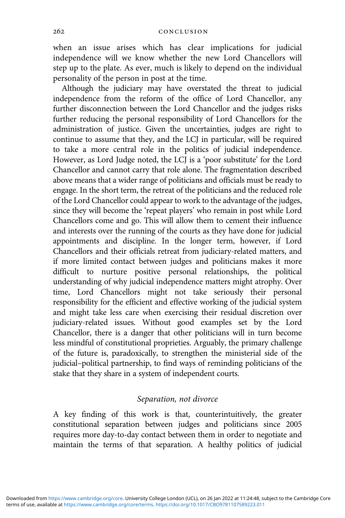when an issue arises which has clear implications for judicial independence will we know whether the new Lord Chancellors will step up to the plate. As ever, much is likely to depend on the individual personality of the person in post at the time.

Although the judiciary may have overstated the threat to judicial independence from the reform of the office of Lord Chancellor, any further disconnection between the Lord Chancellor and the judges risks further reducing the personal responsibility of Lord Chancellors for the administration of justice. Given the uncertainties, judges are right to continue to assume that they, and the LCJ in particular, will be required to take a more central role in the politics of judicial independence. However, as Lord Judge noted, the LCJ is a 'poor substitute' for the Lord Chancellor and cannot carry that role alone. The fragmentation described above means that a wider range of politicians and officials must be ready to engage. In the short term, the retreat of the politicians and the reduced role of the Lord Chancellor could appear to work to the advantage of the judges, since they will become the 'repeat players' who remain in post while Lord Chancellors come and go. This will allow them to cement their influence and interests over the running of the courts as they have done for judicial appointments and discipline. In the longer term, however, if Lord Chancellors and their officials retreat from judiciary-related matters, and if more limited contact between judges and politicians makes it more difficult to nurture positive personal relationships, the political understanding of why judicial independence matters might atrophy. Over time, Lord Chancellors might not take seriously their personal responsibility for the efficient and effective working of the judicial system and might take less care when exercising their residual discretion over judiciary-related issues. Without good examples set by the Lord Chancellor, there is a danger that other politicians will in turn become less mindful of constitutional proprieties. Arguably, the primary challenge of the future is, paradoxically, to strengthen the ministerial side of the judicial–political partnership, to find ways of reminding politicians of the stake that they share in a system of independent courts.

## Separation, not divorce

A key finding of this work is that, counterintuitively, the greater constitutional separation between judges and politicians since 2005 requires more day-to-day contact between them in order to negotiate and maintain the terms of that separation. A healthy politics of judicial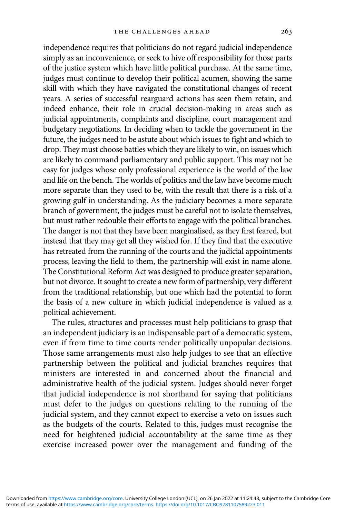independence requires that politicians do not regard judicial independence simply as an inconvenience, or seek to hive off responsibility for those parts of the justice system which have little political purchase. At the same time, judges must continue to develop their political acumen, showing the same skill with which they have navigated the constitutional changes of recent years. A series of successful rearguard actions has seen them retain, and indeed enhance, their role in crucial decision-making in areas such as judicial appointments, complaints and discipline, court management and budgetary negotiations. In deciding when to tackle the government in the future, the judges need to be astute about which issues to fight and which to drop. They must choose battles which they are likely to win, on issues which are likely to command parliamentary and public support. This may not be easy for judges whose only professional experience is the world of the law and life on the bench. The worlds of politics and the law have become much more separate than they used to be, with the result that there is a risk of a growing gulf in understanding. As the judiciary becomes a more separate branch of government, the judges must be careful not to isolate themselves, but must rather redouble their efforts to engage with the political branches. The danger is not that they have been marginalised, as they first feared, but instead that they may get all they wished for. If they find that the executive has retreated from the running of the courts and the judicial appointments process, leaving the field to them, the partnership will exist in name alone. The Constitutional Reform Act was designed to produce greater separation, but not divorce. It sought to create a new form of partnership, very different from the traditional relationship, but one which had the potential to form the basis of a new culture in which judicial independence is valued as a political achievement.

The rules, structures and processes must help politicians to grasp that an independent judiciary is an indispensable part of a democratic system, even if from time to time courts render politically unpopular decisions. Those same arrangements must also help judges to see that an effective partnership between the political and judicial branches requires that ministers are interested in and concerned about the financial and administrative health of the judicial system. Judges should never forget that judicial independence is not shorthand for saying that politicians must defer to the judges on questions relating to the running of the judicial system, and they cannot expect to exercise a veto on issues such as the budgets of the courts. Related to this, judges must recognise the need for heightened judicial accountability at the same time as they exercise increased power over the management and funding of the